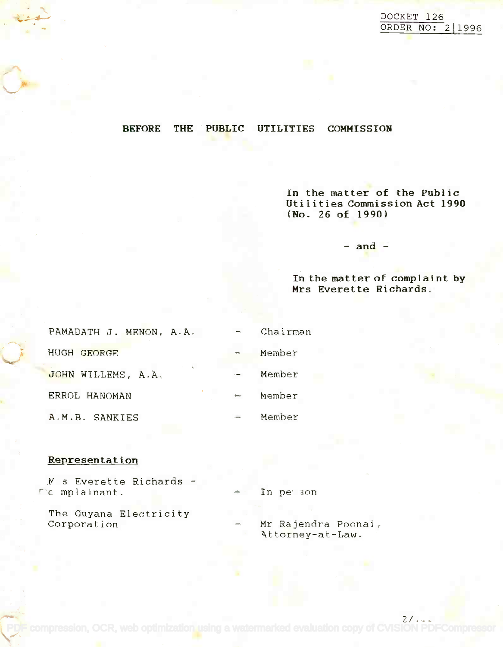$2/\sqrt{2\pi}$ 

## BEFORE THE PUBLIC UTILITIES COMMISSION

In the matter of the Public **In the matter of the Public** Utilities Commission Act 1990 **Utilities Commission Act 1990** (No. 26 of 1990) **(No. 26 of 1990)**

 $-$  and  $-$ 

## In the matter of complaint by **In the mat ter of complai nt by** Mrs Everette Richards. **Mrs Everette Richards.**

| PAMADATH J. MENON, A.A. | $\overline{\phantom{0}}$ | Chairman |  |
|-------------------------|--------------------------|----------|--|
| HUGH GEORGE             |                          | Member   |  |
| JOHN WILLEMS, A.A.      |                          | Member   |  |
| ERROL HANOMAN           | ÷                        | Member   |  |
| A.M.B. SANKIES          |                          | Member   |  |

## Representation

M s Everette Richards <sup>c</sup> mplainant. c mplainant.

The Guyana Electricity The Guyana Electricity Corporation Mr Rajendra Poonai, Corporation Mr Rajendra Poonai,

In person

[PDF compression, OCR, web optimization using a watermarked evaluation copy of CVISION PDFCompressor](http://www.cvisiontech.com)

Attorney-at-Law.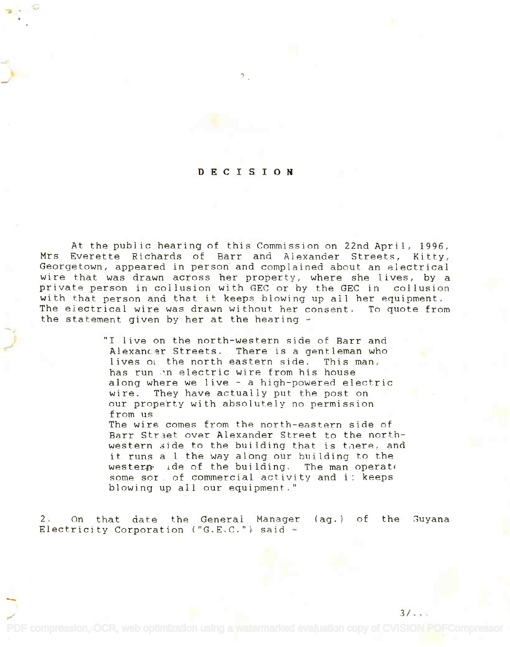## DECISION

 $\mathcal{P}$ 

At the public hearing of this Commission on 22nd April, 1996, At the public hearing of this Commission on 22nd April, 1996, Mrs Everette Richards of Barr and Alexander Streets, Kitty, Mrs Everette Richards of Barr and Alexander Streets, Kitty, Georgetown, appeared in person and complained about an electrical Georgetown, appeared in person' and complained about an electrical wire that was drawn across her property, where she lives, by a wire that was drawn across her property, where she lives, by a private person in collusion with GEC or by the GEC in collusion private person in collusion with GEC or by the GEC in collusion with that person and that it keeps blowing up all her equipment. with that person and that it keeps blowing up all her equipment. The electrical wire was drawn without her consent. To quote from The ejectrical wire was drawn without her consent. To quote from the statement given by her at the hearing  $\rightarrow$ 

> "I live on the north-western side of Barr and "1 live on the north-western side of Barr and Alexancer Streets. There is a gentleman who lives of the north eastern side. This man, has run in electric wire from his house along where we live - a high-powered electric wire. They have actually put the post on wire. They have actually put the post on our property with absolutely no permission our property with absolutely no permission from us from us

The wire comes from the north-eastern side of The wire comes from the north-eastern side of Barr Street over Alexander Street to the northwestern side to the building that is there, and it runs a\_1 the way along our building to the it runs a.l the way along our building to the wester $p$  ide of the building. The man operate some sor, of commercial activity and i: keeps some sor. of commercial activity and i: keeps blowing up all our equipment." blowing up all our equipment."

 $3/\sqrt{2}$ 

2. On that date the General Manager (ag.) of the guyana 2. On that date the General Manager Electricity Corporation ("G.E.C.") said Electricity Corporation ("G.E.C.") said -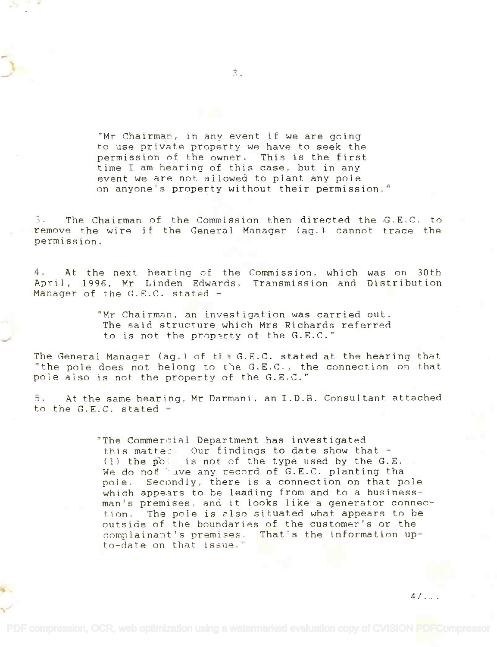"Mr Chairman, in any event if we are going "Mr Chairman, in any event if we are going to use private property we have to seek the to use private property we have to seek the permission of the owner. This is the first permission of the owner. This is the first time I am hearing of this case, but in any time I am hearing of this case, but in any event we are not allowed to plant any pole event we are not allowed to plant any pole on anyone's property without their permission."

3. The Chairman of the Commission then directed the G.E.C. to 3. The Chairman of the Commission then directed the G.E.C. to remove the wire if the General Manager (ag.) cannot trace the remove the wire if the General Manager (ag.) cannot trace the permission. permission.

4. At the next hearing of the Commission, which was on 30th 4. At the next hearing of the Commission, which was on 30th April, 1996, Mr Linden Edwards, Transmission and Distribution Manager of the G.E.C. stated Manager of the G.E.C. stated -

> "Mr Chairman, an investigation was carried out. "Mr Chairman, an investigation was carried ant. The said structure which Mrs Richards referred The said structure which Mrs Richards referred to is not the proparty of the G.E.C."

The General Manager (ag.) of the G.E.C. stated at the hearing that  $\blacksquare$ "the pole does not belong to the G.E.C., the connection on that pole also is not the property of the G.E.C." pole also is not the property of the G.E.C."

5. At the same hearing, Mr Darmani, an I.D.B. Consultant attached 5. At the same hearing, Mr Darmani, an I.D.B. Consultant attached to the G.E.C. stated -

> "The Commertial Department has investigated this matter. Our findings to date show that  $-$ (1) the polaris not of the type used by the G.E. .<br>We do not 'ave any record of G.E.C. planting tha pole. Secondly, there is a connection on that pole pole. Secondly, there is a connection on that pole which appears to be leading from and to a businessman's premises, and it looks like a generator connec-man's premises, and it looks like a generator connection. The pole is also situated what appears to be outside of the boundaries of the customer's or the complainant's premises. That's the information up-complainant's premises. That's the information upto-date on that issue." to-date on that issue." We do not 'ave any record of G.E.C. planting tha

> > $4/\ldots$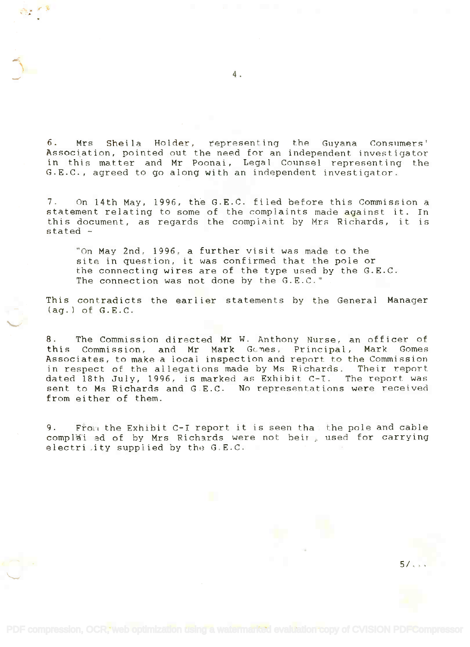6. Mrs Sheila Holder, representing the Guyana Consumers' Association, pointed out the need for an independent investigator Association, pointed out the need for an independent investigator in this matter and Mr Poonai, Legal Counsel representing the in this matter and Mr Poonai, Legal Counsel representing the G.E.C., agreed to go along with an independent investigator. G.E.C., agreed to go along with an independent investigator. 6. Mrs Sheila Holder, representing the Guyana Consumers'

7. On 14th May, 1996, the G.E.C. filed before this Commission a 7. On 14th May, 1996, the G.E.C. filed before this Commission a statement relating to some of the complaints made against it. In this document, as regards the complaint by Mrs Richards, it is stated stated -

"On May 2nd, 1996, a further visit was made to the "On May 2nd, 1996, a further visit was made to the site in question, it was confirmed that the pole or site in question, it was confirmed that the pole or the connecting wires are of the type used by the G.E.C. the connecting wires are of the type used by the G.E.C. The connection was not done by the G.E.C."

This contradicts the earlier statements by the General Manager This contradicts the earlier statements by the General Manager (ag.) of G.E.C. (ag.) of G.E.C.

8. The Commission directed Mr W. Anthony Nurse, an officer of 8. The Commission directed Mr W. Anthony Nurse, an officer of this Commission, and Mr Mark Gcmes, Principal, Mark Gomes this Commission, and Mr Mark Gc~es, Principal, Mark Gomes Associates, to make a local inspection and report to the Commission Associates, to make a local inspection and report to the Commission in respect of the allegations made by Ms Richards. Their report in respect of the allegations made by Ms Richards. Their report dated 18th July, 1996, is marked as Exhibit C-I. The report was sent to Ms Richards and G E.C. No representations were received sent to Ms Richards and G E.C. No representations were received from either of them. from either of them.

9. From the Exhibit *C-I* report it is seen that the pole and cable complai ed of by Mrs Richards were not beir, used for carrying electri  $ity$  supplied by the  $G.E.C.$ 

4.

5/...